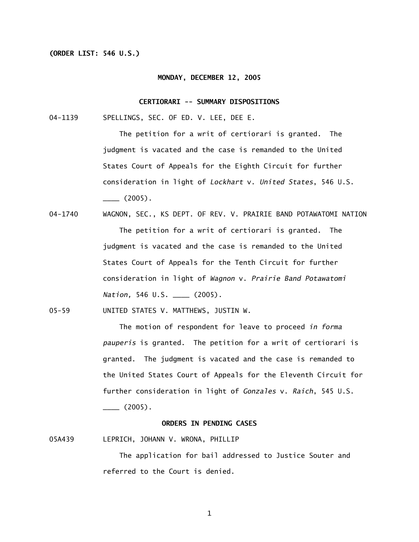## **(ORDER LIST: 546 U.S.)**

#### **MONDAY, DECEMBER 12, 2005**

### **CERTIORARI -- SUMMARY DISPOSITIONS**

04-1139 SPELLINGS, SEC. OF ED. V. LEE, DEE E.

 The petition for a writ of certiorari is granted. The judgment is vacated and the case is remanded to the United States Court of Appeals for the Eighth Circuit for further consideration in light of *Lockhart* v. *United States*, 546 U.S.  $\frac{1}{2}$  (2005).

04-1740 WAGNON, SEC., KS DEPT. OF REV. V. PRAIRIE BAND POTAWATOMI NATION The petition for a writ of certiorari is granted. The judgment is vacated and the case is remanded to the United States Court of Appeals for the Tenth Circuit for further consideration in light of *Wagnon* v. *Prairie Band Potawatomi Nation,* 546 U.S. \_\_\_\_ (2005).

05-59 UNITED STATES V. MATTHEWS, JUSTIN W.

 The motion of respondent for leave to proceed *in forma pauperis* is granted. The petition for a writ of certiorari is granted. The judgment is vacated and the case is remanded to the United States Court of Appeals for the Eleventh Circuit for further consideration in light of *Gonzales* v. *Raich*, 545 U.S.  $\frac{1}{2}$  (2005).

# **ORDERS IN PENDING CASES**

05A439 LEPRICH, JOHANN V. WRONA, PHILLIP

 The application for bail addressed to Justice Souter and referred to the Court is denied.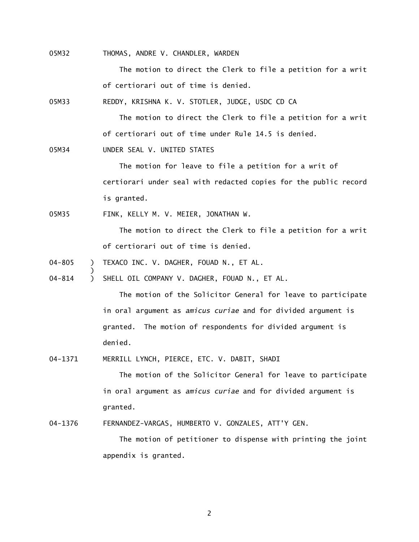05M32 THOMAS, ANDRE V. CHANDLER, WARDEN

The motion to direct the Clerk to file a petition for a writ of certiorari out of time is denied.

05M33 REDDY, KRISHNA K. V. STOTLER, JUDGE, USDC CD CA

The motion to direct the Clerk to file a petition for a writ of certiorari out of time under Rule 14.5 is denied.

05M34 UNDER SEAL V. UNITED STATES

)

The motion for leave to file a petition for a writ of certiorari under seal with redacted copies for the public record is granted.

05M35 FINK, KELLY M. V. MEIER, JONATHAN W.

The motion to direct the Clerk to file a petition for a writ of certiorari out of time is denied.

04-805 ) TEXACO INC. V. DAGHER, FOUAD N., ET AL.

04-814 ) SHELL OIL COMPANY V. DAGHER, FOUAD N., ET AL.

The motion of the Solicitor General for leave to participate in oral argument as *amicus curiae* and for divided argument is granted. The motion of respondents for divided argument is denied.

04-1371 MERRILL LYNCH, PIERCE, ETC. V. DABIT, SHADI

The motion of the Solicitor General for leave to participate in oral argument as *amicus curiae* and for divided argument is granted.

04-1376 FERNANDEZ-VARGAS, HUMBERTO V. GONZALES, ATT'Y GEN.

 The motion of petitioner to dispense with printing the joint appendix is granted.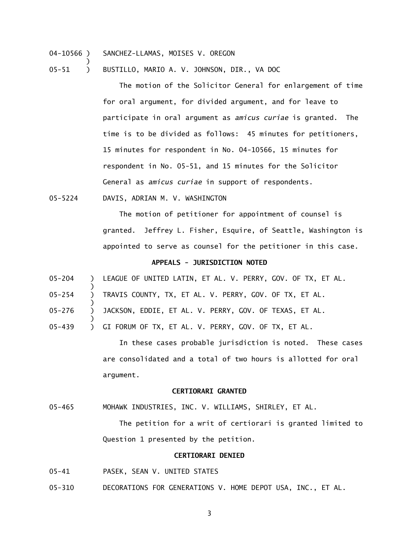04-10566 ) SANCHEZ-LLAMAS, MOISES V. OREGON

)

)

)

)

05-51 ) BUSTILLO, MARIO A. V. JOHNSON, DIR., VA DOC

The motion of the Solicitor General for enlargement of time for oral argument, for divided argument, and for leave to participate in oral argument as *amicus curiae* is granted. The time is to be divided as follows: 45 minutes for petitioners, 15 minutes for respondent in No. 04-10566, 15 minutes for respondent in No. 05-51, and 15 minutes for the Solicitor General as *amicus curiae* in support of respondents.

05-5224 DAVIS, ADRIAN M. V. WASHINGTON

 The motion of petitioner for appointment of counsel is granted. Jeffrey L. Fisher, Esquire, of Seattle, Washington is appointed to serve as counsel for the petitioner in this case.

#### **APPEALS - JURISDICTION NOTED**

05-204 ) LEAGUE OF UNITED LATIN, ET AL. V. PERRY, GOV. OF TX, ET AL.

05-254 ) TRAVIS COUNTY, TX, ET AL. V. PERRY, GOV. OF TX, ET AL.

05-276 ) JACKSON, EDDIE, ET AL. V. PERRY, GOV. OF TEXAS, ET AL.

05-439 ) GI FORUM OF TX, ET AL. V. PERRY, GOV. OF TX, ET AL.

 In these cases probable jurisdiction is noted. These cases are consolidated and a total of two hours is allotted for oral argument.

#### **CERTIORARI GRANTED**

05-465 MOHAWK INDUSTRIES, INC. V. WILLIAMS, SHIRLEY, ET AL.

 The petition for a writ of certiorari is granted limited to Question 1 presented by the petition.

## **CERTIORARI DENIED**

05-41 PASEK, SEAN V. UNITED STATES

05-310 DECORATIONS FOR GENERATIONS V. HOME DEPOT USA, INC., ET AL.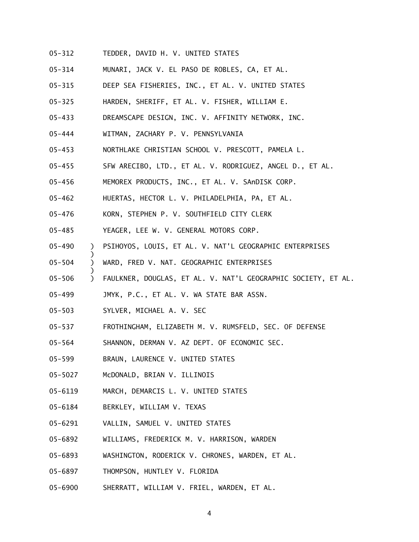- 05-312 TEDDER, DAVID H. V. UNITED STATES
- 05-314 MUNARI, JACK V. EL PASO DE ROBLES, CA, ET AL.
- 05-315 DEEP SEA FISHERIES, INC., ET AL. V. UNITED STATES
- 05-325 HARDEN, SHERIFF, ET AL. V. FISHER, WILLIAM E.
- 05-433 DREAMSCAPE DESIGN, INC. V. AFFINITY NETWORK, INC.
- 05-444 WITMAN, ZACHARY P. V. PENNSYLVANIA
- 05-453 NORTHLAKE CHRISTIAN SCHOOL V. PRESCOTT, PAMELA L.
- 05-455 SFW ARECIBO, LTD., ET AL. V. RODRIGUEZ, ANGEL D., ET AL.
- 05-456 MEMOREX PRODUCTS, INC., ET AL. V. SAnDISK CORP.
- 05-462 HUERTAS, HECTOR L. V. PHILADELPHIA, PA, ET AL.
- 05-476 KORN, STEPHEN P. V. SOUTHFIELD CITY CLERK
- 05-485 YEAGER, LEE W. V. GENERAL MOTORS CORP.
- 05-490 ) PSIHOYOS, LOUIS, ET AL. V. NAT'L GEOGRAPHIC ENTERPRISES
- 05-504 ) WARD, FRED V. NAT. GEOGRAPHIC ENTERPRISES
- 05-506 ) FAULKNER, DOUGLAS, ET AL. V. NAT'L GEOGRAPHIC SOCIETY, ET AL.
- 05-499 JMYK, P.C., ET AL. V. WA STATE BAR ASSN.
- 05-503 SYLVER, MICHAEL A. V. SEC

 $\lambda$ 

)

- 05-537 FROTHINGHAM, ELIZABETH M. V. RUMSFELD, SEC. OF DEFENSE
- 05-564 SHANNON, DERMAN V. AZ DEPT. OF ECONOMIC SEC.
- 05-599 BRAUN, LAURENCE V. UNITED STATES
- 05-5027 McDONALD, BRIAN V. ILLINOIS
- 05-6119 MARCH, DEMARCIS L. V. UNITED STATES
- 05-6184 BERKLEY, WILLIAM V. TEXAS
- 05-6291 VALLIN, SAMUEL V. UNITED STATES
- 05-6892 WILLIAMS, FREDERICK M. V. HARRISON, WARDEN
- 05-6893 WASHINGTON, RODERICK V. CHRONES, WARDEN, ET AL.
- 05-6897 THOMPSON, HUNTLEY V. FLORIDA
- 05-6900 SHERRATT, WILLIAM V. FRIEL, WARDEN, ET AL.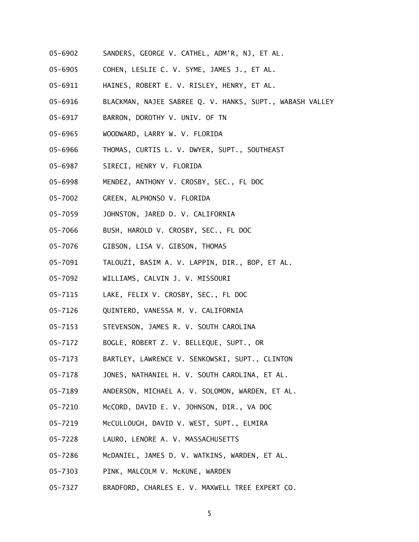- 05-6902 SANDERS, GEORGE V. CATHEL, ADM'R, NJ, ET AL.
- 05-6905 COHEN, LESLIE C. V. SYME, JAMES J., ET AL.
- 05-6911 HAINES, ROBERT E. V. RISLEY, HENRY, ET AL.
- 05-6916 BLACKMAN, NAJEE SABREE Q. V. HANKS, SUPT., WABASH VALLEY
- 05-6917 BARRON, DOROTHY V. UNIV. OF TN
- 05-6965 WOODWARD, LARRY W. V. FLORIDA
- 05-6966 THOMAS, CURTIS L. V. DWYER, SUPT., SOUTHEAST
- 05-6987 SIRECI, HENRY V. FLORIDA
- 05-6998 MENDEZ, ANTHONY V. CROSBY, SEC., FL DOC
- 05-7002 GREEN, ALPHONSO V. FLORIDA
- 05-7059 JOHNSTON, JARED D. V. CALIFORNIA
- 05-7066 BUSH, HAROLD V. CROSBY, SEC., FL DOC
- 05-7076 GIBSON, LISA V. GIBSON, THOMAS
- 05-7091 TALOUZI, BASIM A. V. LAPPIN, DIR., BOP, ET AL.
- 05-7092 WILLIAMS, CALVIN J. V. MISSOURI
- 05-7115 LAKE, FELIX V. CROSBY, SEC., FL DOC
- 05-7126 QUINTERO, VANESSA M. V. CALIFORNIA
- 05-7153 STEVENSON, JAMES R. V. SOUTH CAROLINA
- 05-7172 BOGLE, ROBERT Z. V. BELLEQUE, SUPT., OR
- 05-7173 BARTLEY, LAWRENCE V. SENKOWSKI, SUPT., CLINTON
- 05-7178 JONES, NATHANIEL H. V. SOUTH CAROLINA, ET AL.
- 05-7189 ANDERSON, MICHAEL A. V. SOLOMON, WARDEN, ET AL.
- 05-7210 McCORD, DAVID E. V. JOHNSON, DIR., VA DOC
- 05-7219 McCULLOUGH, DAVID V. WEST, SUPT., ELMIRA
- 05-7228 LAURO, LENORE A. V. MASSACHUSETTS
- 05-7286 McDANIEL, JAMES D. V. WATKINS, WARDEN, ET AL.
- 05-7303 PINK, MALCOLM V. McKUNE, WARDEN
- 05-7327 BRADFORD, CHARLES E. V. MAXWELL TREE EXPERT CO.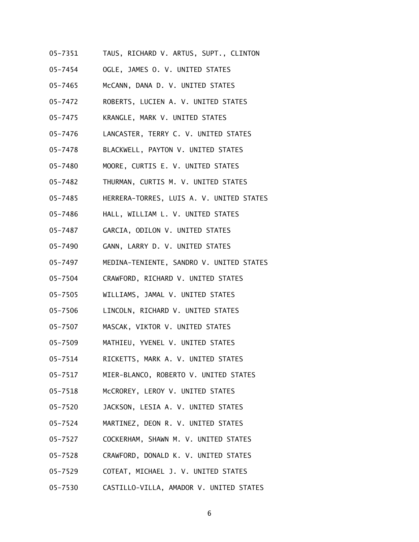- 05-7351 TAUS, RICHARD V. ARTUS, SUPT., CLINTON
- 05-7454 OGLE, JAMES O. V. UNITED STATES
- 05-7465 McCANN, DANA D. V. UNITED STATES
- 05-7472 ROBERTS, LUCIEN A. V. UNITED STATES
- 05-7475 KRANGLE, MARK V. UNITED STATES
- 05-7476 LANCASTER, TERRY C. V. UNITED STATES
- 05-7478 BLACKWELL, PAYTON V. UNITED STATES
- 05-7480 MOORE, CURTIS E. V. UNITED STATES
- 05-7482 THURMAN, CURTIS M. V. UNITED STATES
- 05-7485 HERRERA-TORRES, LUIS A. V. UNITED STATES
- 05-7486 HALL, WILLIAM L. V. UNITED STATES
- 05-7487 GARCIA, ODILON V. UNITED STATES
- 05-7490 GANN, LARRY D. V. UNITED STATES
- 05-7497 MEDINA-TENIENTE, SANDRO V. UNITED STATES
- 05-7504 CRAWFORD, RICHARD V. UNITED STATES
- 05-7505 WILLIAMS, JAMAL V. UNITED STATES
- 05-7506 LINCOLN, RICHARD V. UNITED STATES
- 05-7507 MASCAK, VIKTOR V. UNITED STATES
- 05-7509 MATHIEU, YVENEL V. UNITED STATES
- 05-7514 RICKETTS, MARK A. V. UNITED STATES
- 05-7517 MIER-BLANCO, ROBERTO V. UNITED STATES
- 05-7518 McCROREY, LEROY V. UNITED STATES
- 05-7520 JACKSON, LESIA A. V. UNITED STATES
- 05-7524 MARTINEZ, DEON R. V. UNITED STATES
- 05-7527 COCKERHAM, SHAWN M. V. UNITED STATES
- 05-7528 CRAWFORD, DONALD K. V. UNITED STATES
- 05-7529 COTEAT, MICHAEL J. V. UNITED STATES
- 05-7530 CASTILLO-VILLA, AMADOR V. UNITED STATES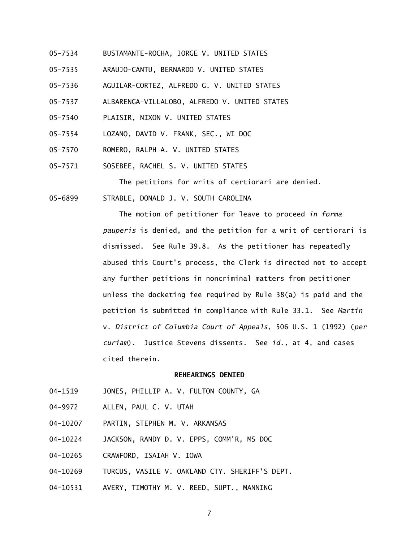- 05-7534 BUSTAMANTE-ROCHA, JORGE V. UNITED STATES
- 05-7535 ARAUJO-CANTU, BERNARDO V. UNITED STATES
- 05-7536 AGUILAR-CORTEZ, ALFREDO G. V. UNITED STATES
- 05-7537 ALBARENGA-VILLALOBO, ALFREDO V. UNITED STATES
- 05-7540 PLAISIR, NIXON V. UNITED STATES
- 05-7554 LOZANO, DAVID V. FRANK, SEC., WI DOC
- 05-7570 ROMERO, RALPH A. V. UNITED STATES
- 05-7571 SOSEBEE, RACHEL S. V. UNITED STATES

The petitions for writs of certiorari are denied.

05-6899 STRABLE, DONALD J. V. SOUTH CAROLINA

 The motion of petitioner for leave to proceed *in forma pauperis* is denied, and the petition for a writ of certiorari is dismissed. See Rule 39.8. As the petitioner has repeatedly abused this Court's process, the Clerk is directed not to accept any further petitions in noncriminal matters from petitioner unless the docketing fee required by Rule 38(a) is paid and the petition is submitted in compliance with Rule 33.1. See *Martin*  v. *District of Columbia Court of Appeals*, 506 U.S. 1 (1992) (*per curiam*). Justice Stevens dissents. See *id.,* at 4, and cases cited therein.

# **REHEARINGS DENIED**

- 04-1519 JONES, PHILLIP A. V. FULTON COUNTY, GA
- 04-9972 ALLEN, PAUL C. V. UTAH
- 04-10207 PARTIN, STEPHEN M. V. ARKANSAS
- 04-10224 JACKSON, RANDY D. V. EPPS, COMM'R, MS DOC
- 04-10265 CRAWFORD, ISAIAH V. IOWA
- 04-10269 TURCUS, VASILE V. OAKLAND CTY. SHERIFF'S DEPT.
- 04-10531 AVERY, TIMOTHY M. V. REED, SUPT., MANNING